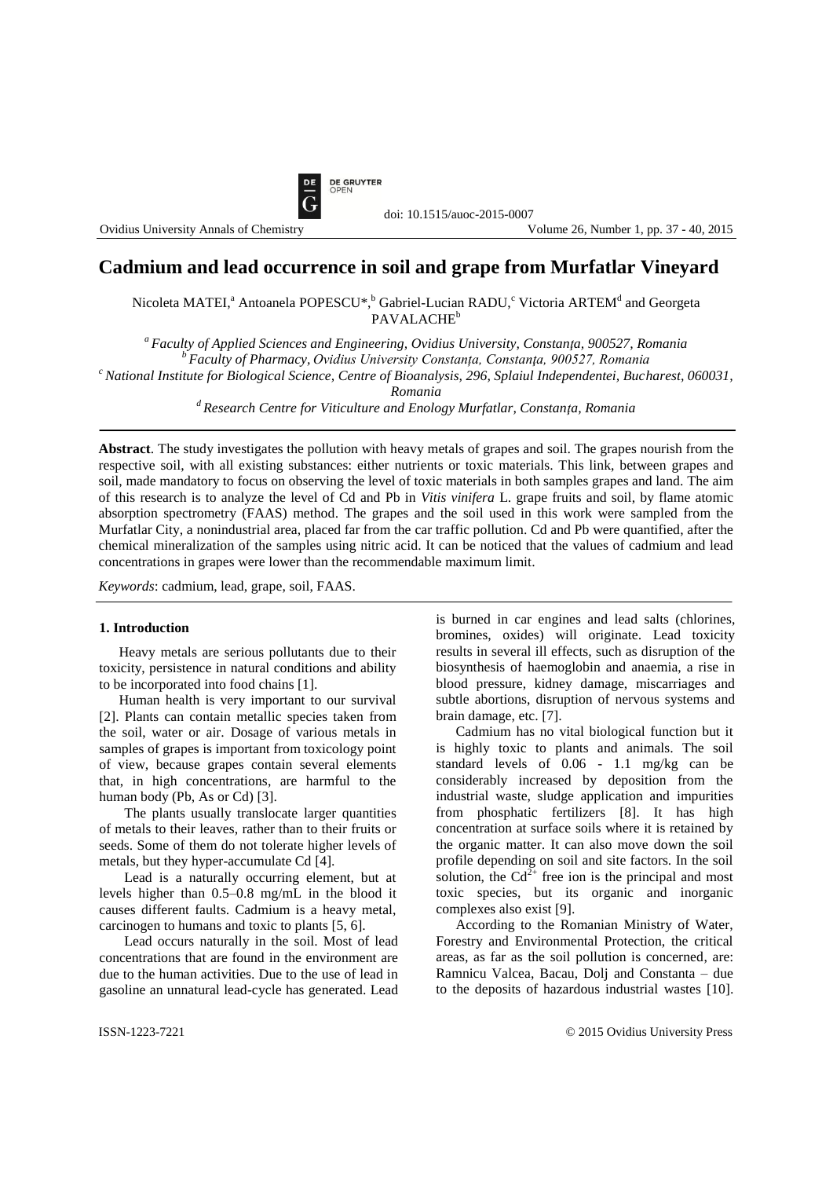

# **Cadmium and lead occurrence in soil and grape from Murfatlar Vineyard**

Nicoleta MATEI,<sup>a</sup> Antoanela POPESCU\*,<sup>b</sup> Gabriel-Lucian RADU,<sup>c</sup> Victoria ARTEM<sup>d</sup> and Georgeta PAVALACHE<sup>b</sup>

*<sup>a</sup> Faculty of Applied Sciences and Engineering, Ovidius University, Constanţa, 900527, Romania <sup>b</sup> Faculty of Pharmacy, Ovidius University Constanța, Constanţa, 900527, Romania <sup>c</sup>National Institute for Biological Science, Centre of Bioanalysis, 296, Splaiul Independentei, Bucharest, 060031,* 

doi: 10.1515/auoc-2015-0007

*Romania*

*<sup>d</sup> Research Centre for Viticulture and Enology Murfatlar, Constanţa, Romania*

**Abstract**. The study investigates the pollution with heavy metals of grapes and soil. The grapes nourish from the respective soil, with all existing substances: either nutrients or toxic materials. This link, between grapes and soil, made mandatory to focus on observing the level of toxic materials in both samples grapes and land. The aim of this research is to analyze the level of Cd and Pb in *Vitis vinifera* L. grape fruits and soil, by flame atomic absorption spectrometry (FAAS) method. The grapes and the soil used in this work were sampled from the Murfatlar City, a nonindustrial area, placed far from the car traffic pollution. Cd and Pb were quantified, after the chemical mineralization of the samples using nitric acid. It can be noticed that the values of cadmium and lead concentrations in grapes were lower than the recommendable maximum limit.

*Keywords*: cadmium, lead, grape, soil, FAAS.

### **1. Introduction**

Heavy metals are serious pollutants due to their toxicity, persistence in natural conditions and ability to be incorporated into food chains [1].

Human health is very important to our survival [2]. Plants can contain metallic species taken from the soil, water or air. Dosage of various metals in samples of grapes is important from toxicology point of view, because grapes contain several elements that, in high concentrations, are harmful to the human body (Pb, As or Cd) [3].

The plants usually translocate larger quantities of metals to their leaves, rather than to their fruits or seeds. Some of them do not tolerate higher levels of metals, but they hyper-accumulate Cd [4].

Lead is a naturally occurring element, but at levels higher than 0.5–0.8 mg/mL in the blood it causes different faults. Cadmium is a heavy metal, carcinogen to humans and toxic to plants [5, 6].

Lead occurs naturally in the soil. Most of lead concentrations that are found in the environment are due to the human activities. Due to the use of lead in gasoline an unnatural lead-cycle has generated. Lead is burned in car engines and lead salts (chlorines, bromines, oxides) will originate. Lead toxicity results in several ill effects, such as disruption of the biosynthesis of haemoglobin and anaemia, a rise in blood pressure, kidney damage, miscarriages and subtle abortions, disruption of nervous systems and brain damage, etc. [7].

Cadmium has no vital biological function but it is highly toxic to plants and animals. The soil standard levels of 0.06 - 1.1 mg/kg can be considerably increased by deposition from the industrial waste, sludge application and impurities from phosphatic fertilizers [8]. It has high concentration at surface soils where it is retained by the organic matter. It can also move down the soil profile depending on soil and site factors. In the soil solution, the  $Cd^{2+}$  free ion is the principal and most toxic species, but its organic and inorganic complexes also exist [9].

According to the Romanian Ministry of Water, Forestry and Environmental Protection, the critical areas, as far as the soil pollution is concerned, are: Ramnicu Valcea, Bacau, Dolj and Constanta – due to the deposits of hazardous industrial wastes [10].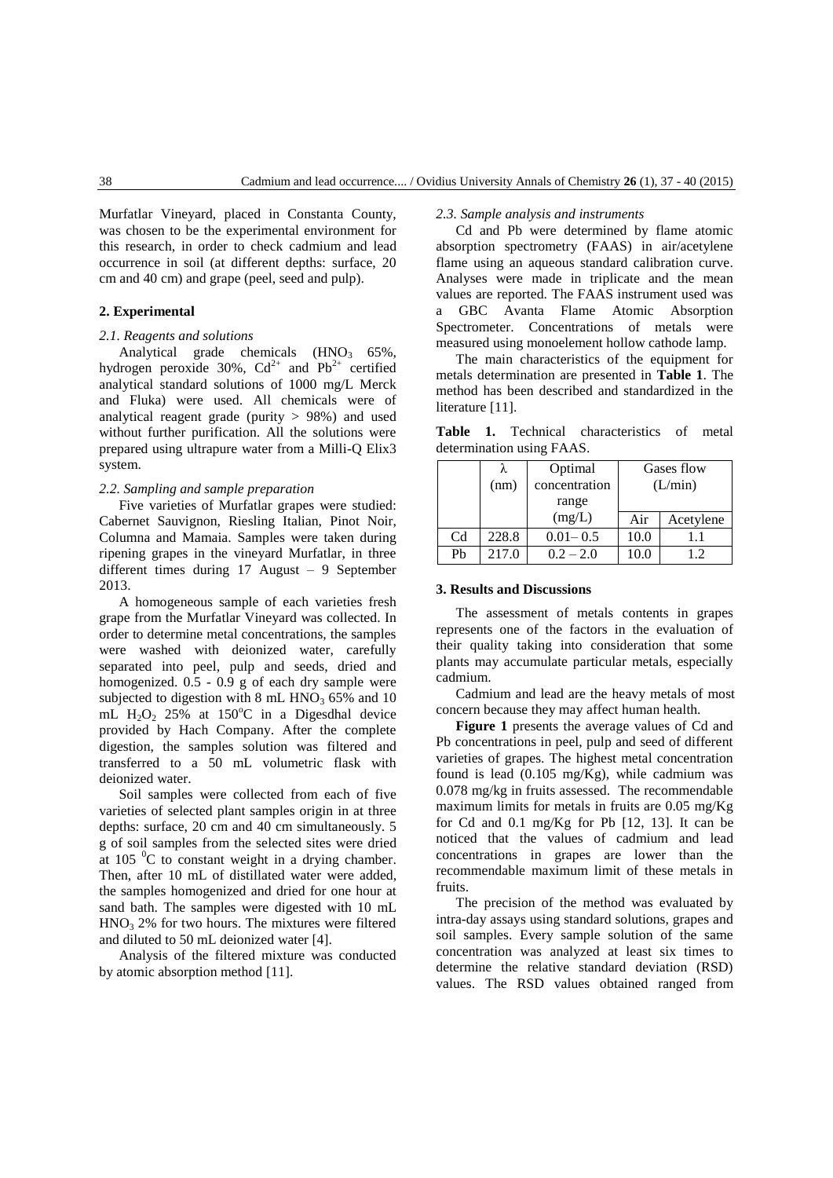Murfatlar Vineyard, placed in Constanta County, was chosen to be the experimental environment for this research, in order to check cadmium and lead occurrence in soil (at different depths: surface, 20 cm and 40 cm) and grape (peel, seed and pulp).

### **2. Experimental**

#### *2.1. Reagents and solutions*

Analytical grade chemicals  $(HNO<sub>3</sub> 65\%$ , hydrogen peroxide 30%,  $Cd^{2+}$  and  $Pb^{2+}$  certified analytical standard solutions of 1000 mg/L Merck and Fluka) were used. All chemicals were of analytical reagent grade (purity  $> 98\%$ ) and used without further purification. All the solutions were prepared using ultrapure water from a Milli-Q Elix3 system.

# *2.2. Sampling and sample preparation*

Five varieties of Murfatlar grapes were studied: Cabernet Sauvignon, Riesling Italian, Pinot Noir, Columna and Mamaia. Samples were taken during ripening grapes in the vineyard Murfatlar, in three different times during 17 August – 9 September 2013.

A homogeneous sample of each varieties fresh grape from the Murfatlar Vineyard was collected. In order to determine metal concentrations, the samples were washed with deionized water, carefully separated into peel, pulp and seeds, dried and homogenized. 0.5 - 0.9 g of each dry sample were subjected to digestion with  $8 \text{ mL HNO}_3$  65% and 10 mL H<sub>2</sub>O<sub>2</sub> 25% at 150<sup>o</sup>C in a Digesdhal device provided by Hach Company. After the complete digestion, the samples solution was filtered and transferred to a 50 mL volumetric flask with deionized water.

Soil samples were collected from each of five varieties of selected plant samples origin in at three depths: surface, 20 cm and 40 cm simultaneously. 5 g of soil samples from the selected sites were dried at  $105 \text{ °C}$  to constant weight in a drying chamber. Then, after 10 mL of distillated water were added, the samples homogenized and dried for one hour at sand bath. The samples were digested with 10 mL  $HNO<sub>3</sub> 2%$  for two hours. The mixtures were filtered and diluted to 50 mL deionized water [4].

Analysis of the filtered mixture was conducted by atomic absorption method [11].

# *2.3. Sample analysis and instruments*

Cd and Pb were determined by flame atomic absorption spectrometry (FAAS) in air/acetylene flame using an aqueous standard calibration curve. Analyses were made in triplicate and the mean values are reported. The FAAS instrument used was a GBC Avanta Flame Atomic Absorption Spectrometer. Concentrations of metals were measured using monoelement hollow cathode lamp.

The main characteristics of the equipment for metals determination are presented in **Table 1**. The method has been described and standardized in the literature [11].

**Table 1.** Technical characteristics of metal determination using FAAS.

|                | (nm)  | Optimal<br>concentration | Gases flow<br>(L/min) |           |
|----------------|-------|--------------------------|-----------------------|-----------|
|                |       | range                    |                       |           |
|                |       | (mg/L)                   | Air                   | Acetylene |
| C <sub>d</sub> | 228.8 | $0.01 - 0.5$             | 10.0                  |           |
| Ph             | 217.0 | $0.2 - 2.0$              | 10.0                  | 12        |

## **3. Results and Discussions**

The assessment of metals contents in grapes represents one of the factors in the evaluation of their quality taking into consideration that some plants may accumulate particular metals, especially cadmium.

Cadmium and lead are the heavy metals of most concern because they may affect human health.

**Figure 1** presents the average values of Cd and Pb concentrations in peel, pulp and seed of different varieties of grapes. The highest metal concentration found is lead (0.105 mg/Kg), while cadmium was 0.078 mg/kg in fruits assessed. The recommendable maximum limits for metals in fruits are 0.05 mg/Kg for Cd and 0.1 mg/Kg for Pb [12, 13]. It can be noticed that the values of cadmium and lead concentrations in grapes are lower than the recommendable maximum limit of these metals in fruits.

The precision of the method was evaluated by intra-day assays using standard solutions, grapes and soil samples. Every sample solution of the same concentration was analyzed at least six times to determine the relative standard deviation (RSD) values. The RSD values obtained ranged from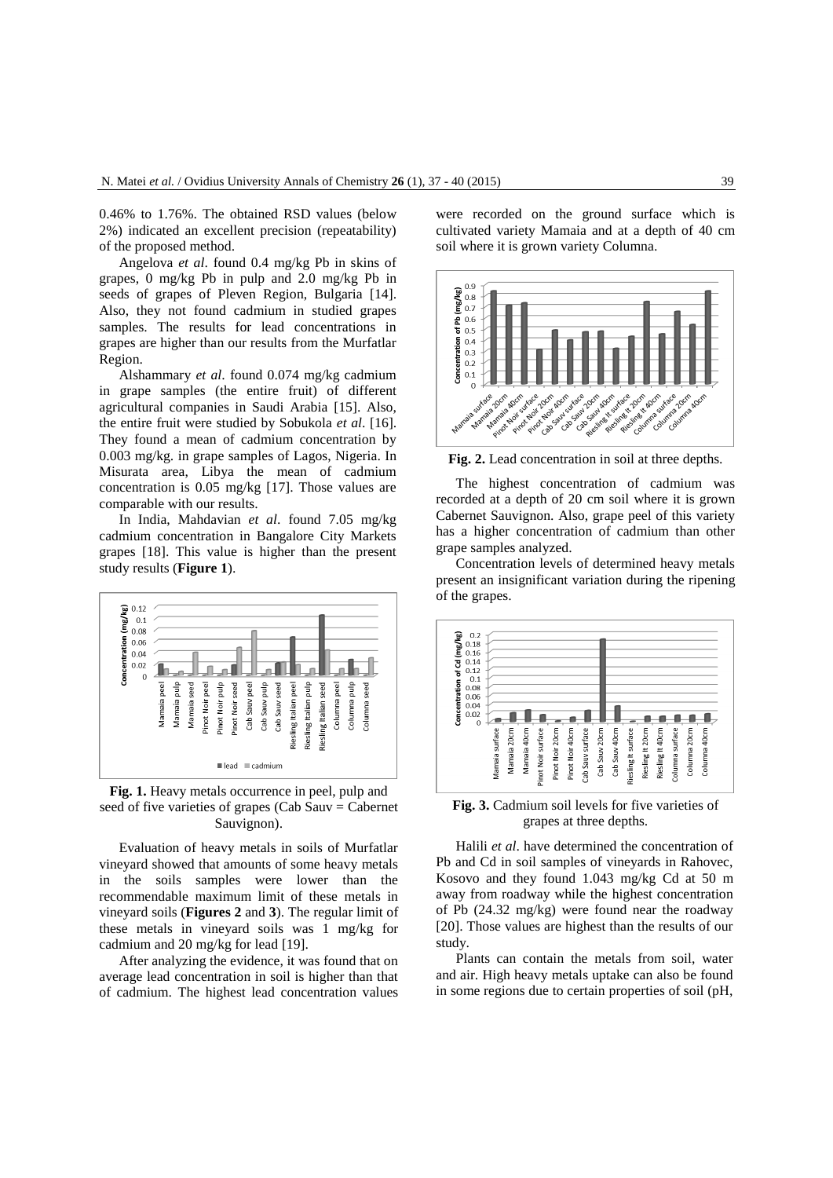0.46% to 1.76%. The obtained RSD values (below 2%) indicated an excellent precision (repeatability) of the proposed method.

Angelova *et al*. found 0.4 mg/kg Pb in skins of grapes, 0 mg/kg Pb in pulp and 2.0 mg/kg Pb in seeds of grapes of Pleven Region, Bulgaria [14]. Also, they not found cadmium in studied grapes samples. The results for lead concentrations in grapes are higher than our results from the Murfatlar Region.

Alshammary *et al*. found 0.074 mg/kg cadmium in grape samples (the entire fruit) of different agricultural companies in Saudi Arabia [15]. Also, the entire fruit were studied by Sobukola *et al*. [16]. They found a mean of cadmium concentration by 0.003 mg/kg. in grape samples of Lagos, Nigeria. In Misurata area, Libya the mean of cadmium concentration is 0.05 mg/kg [17]. Those values are comparable with our results.

In India, Mahdavian *et al*. found 7.05 mg/kg cadmium concentration in Bangalore City Markets grapes [18]. This value is higher than the present study results (**Figure 1**).



**Fig. 1.** Heavy metals occurrence in peel, pulp and seed of five varieties of grapes (Cab Sauv  $=$  Cabernet Sauvignon).

Evaluation of heavy metals in soils of Murfatlar vineyard showed that amounts of some heavy metals in the soils samples were lower than the recommendable maximum limit of these metals in vineyard soils (**Figures 2** and **3**). The regular limit of these metals in vineyard soils was 1 mg/kg for cadmium and 20 mg/kg for lead [19].

After analyzing the evidence, it was found that on average lead concentration in soil is higher than that of cadmium. The highest lead concentration values were recorded on the ground surface which is cultivated variety Mamaia and at a depth of 40 cm soil where it is grown variety Columna.



**Fig. 2.** Lead concentration in soil at three depths.

The highest concentration of cadmium was recorded at a depth of 20 cm soil where it is grown Cabernet Sauvignon. Also, grape peel of this variety has a higher concentration of cadmium than other grape samples analyzed.

Concentration levels of determined heavy metals present an insignificant variation during the ripening of the grapes.



**Fig. 3.** Cadmium soil levels for five varieties of grapes at three depths.

Halili *et al*. have determined the concentration of Pb and Cd in soil samples of vineyards in Rahovec, Kosovo and they found 1.043 mg/kg Cd at 50 m away from roadway while the highest concentration of Pb (24.32 mg/kg) were found near the roadway [20]. Those values are highest than the results of our study.

Plants can contain the metals from soil, water and air. High heavy metals uptake can also be found in some regions due to certain properties of soil (pH,